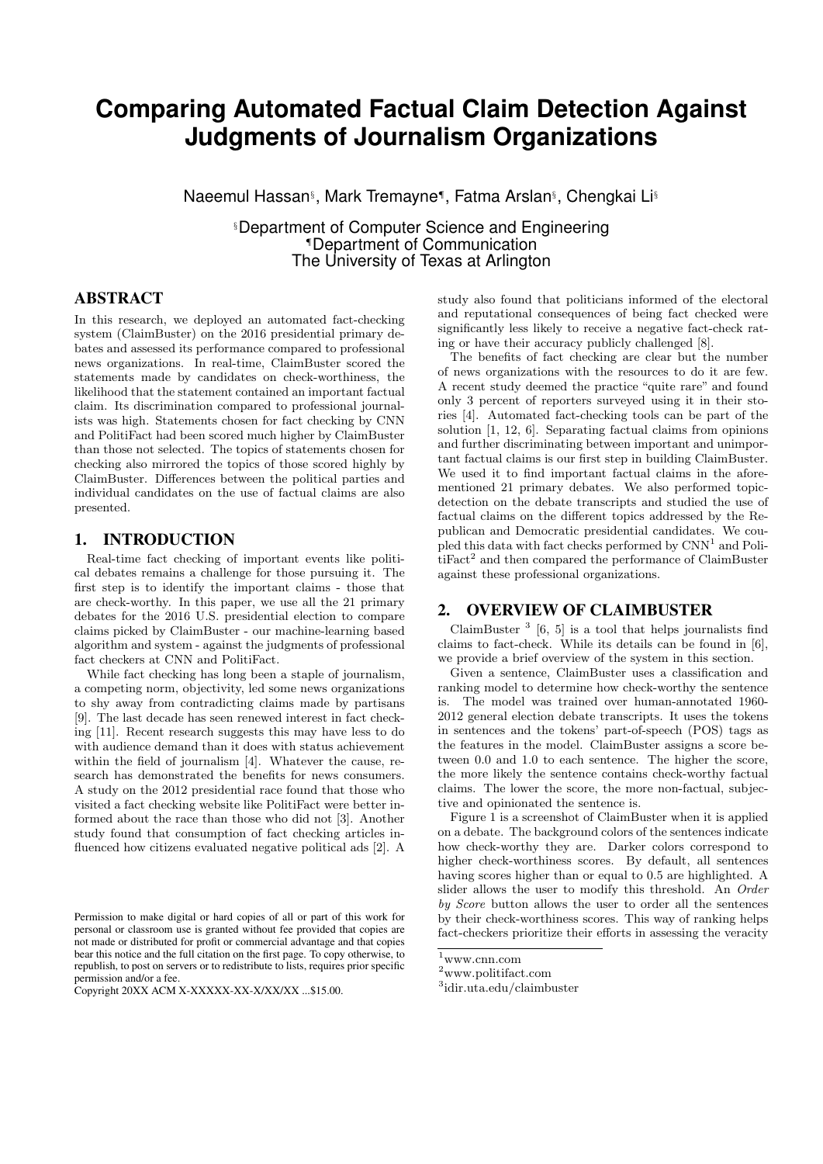# **Comparing Automated Factual Claim Detection Against Judgments of Journalism Organizations**

Naeemul Hassan§ , Mark Tremayne¶ , Fatma Arslan§ , Chengkai Li§

§Department of Computer Science and Engineering ¶Department of Communication The University of Texas at Arlington

## ABSTRACT

In this research, we deployed an automated fact-checking system (ClaimBuster) on the 2016 presidential primary debates and assessed its performance compared to professional news organizations. In real-time, ClaimBuster scored the statements made by candidates on check-worthiness, the likelihood that the statement contained an important factual claim. Its discrimination compared to professional journalists was high. Statements chosen for fact checking by CNN and PolitiFact had been scored much higher by ClaimBuster than those not selected. The topics of statements chosen for checking also mirrored the topics of those scored highly by ClaimBuster. Differences between the political parties and individual candidates on the use of factual claims are also presented.

## 1. INTRODUCTION

Real-time fact checking of important events like political debates remains a challenge for those pursuing it. The first step is to identify the important claims - those that are check-worthy. In this paper, we use all the 21 primary debates for the 2016 U.S. presidential election to compare claims picked by ClaimBuster - our machine-learning based algorithm and system - against the judgments of professional fact checkers at CNN and PolitiFact.

While fact checking has long been a staple of journalism, a competing norm, objectivity, led some news organizations to shy away from contradicting claims made by partisans [9]. The last decade has seen renewed interest in fact checking [11]. Recent research suggests this may have less to do with audience demand than it does with status achievement within the field of journalism [4]. Whatever the cause, research has demonstrated the benefits for news consumers. A study on the 2012 presidential race found that those who visited a fact checking website like PolitiFact were better informed about the race than those who did not [3]. Another study found that consumption of fact checking articles influenced how citizens evaluated negative political ads [2]. A

study also found that politicians informed of the electoral and reputational consequences of being fact checked were significantly less likely to receive a negative fact-check rating or have their accuracy publicly challenged [8].

The benefits of fact checking are clear but the number of news organizations with the resources to do it are few. A recent study deemed the practice "quite rare" and found only 3 percent of reporters surveyed using it in their stories [4]. Automated fact-checking tools can be part of the solution [1, 12, 6]. Separating factual claims from opinions and further discriminating between important and unimportant factual claims is our first step in building ClaimBuster. We used it to find important factual claims in the aforementioned 21 primary debates. We also performed topicdetection on the debate transcripts and studied the use of factual claims on the different topics addressed by the Republican and Democratic presidential candidates. We cou $p$ led this data with fact checks performed by  $CNN<sup>1</sup>$  and PolitiFact<sup>2</sup> and then compared the performance of ClaimBuster against these professional organizations.

### 2. OVERVIEW OF CLAIMBUSTER

ClaimBuster<sup>3</sup> [6, 5] is a tool that helps journalists find claims to fact-check. While its details can be found in [6], we provide a brief overview of the system in this section.

Given a sentence, ClaimBuster uses a classification and ranking model to determine how check-worthy the sentence is. The model was trained over human-annotated 1960- 2012 general election debate transcripts. It uses the tokens in sentences and the tokens' part-of-speech (POS) tags as the features in the model. ClaimBuster assigns a score between 0.0 and 1.0 to each sentence. The higher the score, the more likely the sentence contains check-worthy factual claims. The lower the score, the more non-factual, subjective and opinionated the sentence is.

Figure 1 is a screenshot of ClaimBuster when it is applied on a debate. The background colors of the sentences indicate how check-worthy they are. Darker colors correspond to higher check-worthiness scores. By default, all sentences having scores higher than or equal to 0.5 are highlighted. A slider allows the user to modify this threshold. An Order by Score button allows the user to order all the sentences by their check-worthiness scores. This way of ranking helps fact-checkers prioritize their efforts in assessing the veracity

Permission to make digital or hard copies of all or part of this work for personal or classroom use is granted without fee provided that copies are not made or distributed for profit or commercial advantage and that copies bear this notice and the full citation on the first page. To copy otherwise, to republish, to post on servers or to redistribute to lists, requires prior specific permission and/or a fee.

Copyright 20XX ACM X-XXXXX-XX-X/XX/XX ...\$15.00.

 $1$ www.cnn.com

 $^2$ www.politifact.com

<sup>3</sup> idir.uta.edu/claimbuster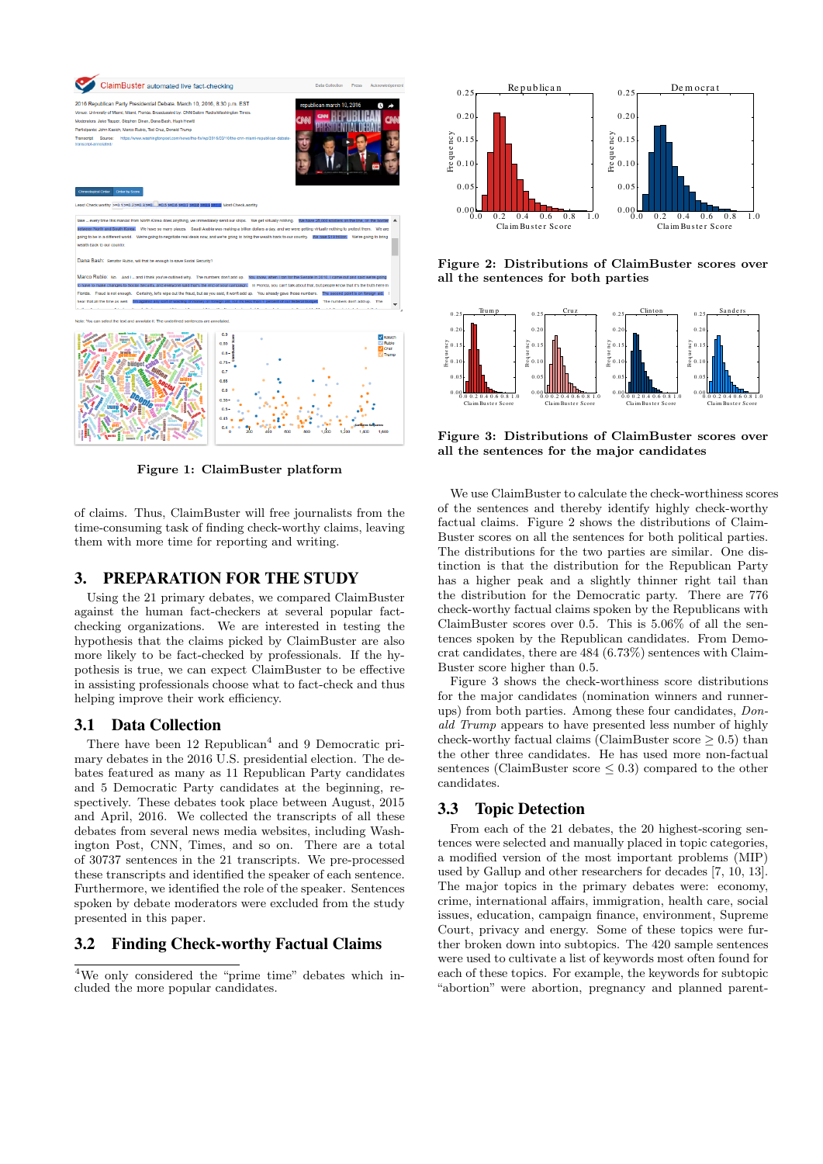

Figure 1: ClaimBuster platform

0.4

of claims. Thus, ClaimBuster will free journalists from the time-consuming task of finding check-worthy claims, leaving them with more time for reporting and writing.

## 3. PREPARATION FOR THE STUDY

Using the 21 primary debates, we compared ClaimBuster against the human fact-checkers at several popular factchecking organizations. We are interested in testing the hypothesis that the claims picked by ClaimBuster are also more likely to be fact-checked by professionals. If the hypothesis is true, we can expect ClaimBuster to be effective in assisting professionals choose what to fact-check and thus helping improve their work efficiency.

#### 3.1 Data Collection

There have been 12 Republican<sup>4</sup> and 9 Democratic primary debates in the 2016 U.S. presidential election. The debates featured as many as 11 Republican Party candidates and 5 Democratic Party candidates at the beginning, respectively. These debates took place between August, 2015 and April, 2016. We collected the transcripts of all these debates from several news media websites, including Washington Post, CNN, Times, and so on. There are a total of 30737 sentences in the 21 transcripts. We pre-processed these transcripts and identified the speaker of each sentence. Furthermore, we identified the role of the speaker. Sentences spoken by debate moderators were excluded from the study presented in this paper.

## 3.2 Finding Check-worthy Factual Claims

<sup>4</sup>We only considered the "prime time" debates which included the more popular candidates.



Figure 2: Distributions of ClaimBuster scores over all the sentences for both parties



Figure 3: Distributions of ClaimBuster scores over all the sentences for the major candidates

We use ClaimBuster to calculate the check-worthiness scores of the sentences and thereby identify highly check-worthy factual claims. Figure 2 shows the distributions of Claim-Buster scores on all the sentences for both political parties. The distributions for the two parties are similar. One distinction is that the distribution for the Republican Party has a higher peak and a slightly thinner right tail than the distribution for the Democratic party. There are 776 check-worthy factual claims spoken by the Republicans with ClaimBuster scores over 0.5. This is 5.06% of all the sentences spoken by the Republican candidates. From Democrat candidates, there are 484 (6.73%) sentences with Claim-Buster score higher than 0.5.

Figure 3 shows the check-worthiness score distributions for the major candidates (nomination winners and runnerups) from both parties. Among these four candidates, Donald Trump appears to have presented less number of highly check-worthy factual claims (ClaimBuster score  $\geq$  0.5) than the other three candidates. He has used more non-factual sentences (ClaimBuster score  $\leq$  0.3) compared to the other candidates.

## 3.3 Topic Detection

From each of the 21 debates, the 20 highest-scoring sentences were selected and manually placed in topic categories, a modified version of the most important problems (MIP) used by Gallup and other researchers for decades [7, 10, 13]. The major topics in the primary debates were: economy, crime, international affairs, immigration, health care, social issues, education, campaign finance, environment, Supreme Court, privacy and energy. Some of these topics were further broken down into subtopics. The 420 sample sentences were used to cultivate a list of keywords most often found for each of these topics. For example, the keywords for subtopic "abortion" were abortion, pregnancy and planned parent-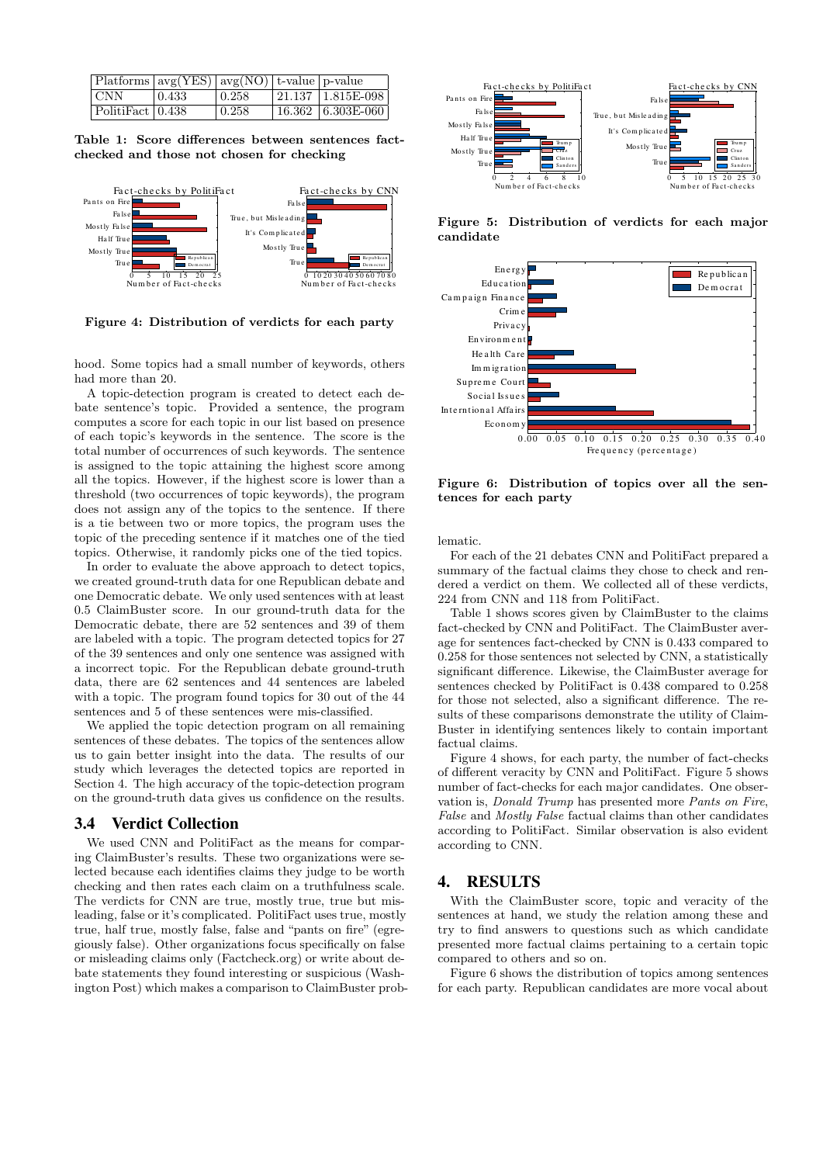| $ $ Platforms $ avg(YES) avg(NO) $ t-value $ p$ -value |             |        |                        |
|--------------------------------------------------------|-------------|--------|------------------------|
| CNN                                                    | $\pm 0.433$ | 10.258 | $ 21.137 1.815E-0.98 $ |
| PolitiFact 0.438                                       |             | 0.258  | 16.362   6.303E-060    |

Table 1: Score differences between sentences factchecked and those not chosen for checking



Figure 4: Distribution of verdicts for each party

hood. Some topics had a small number of keywords, others had more than 20.

A topic-detection program is created to detect each debate sentence's topic. Provided a sentence, the program computes a score for each topic in our list based on presence of each topic's keywords in the sentence. The score is the total number of occurrences of such keywords. The sentence is assigned to the topic attaining the highest score among all the topics. However, if the highest score is lower than a threshold (two occurrences of topic keywords), the program does not assign any of the topics to the sentence. If there is a tie between two or more topics, the program uses the topic of the preceding sentence if it matches one of the tied topics. Otherwise, it randomly picks one of the tied topics.

In order to evaluate the above approach to detect topics, we created ground-truth data for one Republican debate and one Democratic debate. We only used sentences with at least 0.5 ClaimBuster score. In our ground-truth data for the Democratic debate, there are 52 sentences and 39 of them are labeled with a topic. The program detected topics for 27 of the 39 sentences and only one sentence was assigned with a incorrect topic. For the Republican debate ground-truth data, there are 62 sentences and 44 sentences are labeled with a topic. The program found topics for 30 out of the 44 sentences and 5 of these sentences were mis-classified.

We applied the topic detection program on all remaining sentences of these debates. The topics of the sentences allow us to gain better insight into the data. The results of our study which leverages the detected topics are reported in Section 4. The high accuracy of the topic-detection program on the ground-truth data gives us confidence on the results.

### 3.4 Verdict Collection

We used CNN and PolitiFact as the means for comparing ClaimBuster's results. These two organizations were selected because each identifies claims they judge to be worth checking and then rates each claim on a truthfulness scale. The verdicts for CNN are true, mostly true, true but misleading, false or it's complicated. PolitiFact uses true, mostly true, half true, mostly false, false and "pants on fire" (egregiously false). Other organizations focus specifically on false or misleading claims only (Factcheck.org) or write about debate statements they found interesting or suspicious (Washington Post) which makes a comparison to ClaimBuster prob-



Figure 5: Distribution of verdicts for each major candidate



Figure 6: Distribution of topics over all the sentences for each party

lematic.

For each of the 21 debates CNN and PolitiFact prepared a summary of the factual claims they chose to check and rendered a verdict on them. We collected all of these verdicts, 224 from CNN and 118 from PolitiFact.

Table 1 shows scores given by ClaimBuster to the claims fact-checked by CNN and PolitiFact. The ClaimBuster average for sentences fact-checked by CNN is 0.433 compared to 0.258 for those sentences not selected by CNN, a statistically significant difference. Likewise, the ClaimBuster average for sentences checked by PolitiFact is 0.438 compared to 0.258 for those not selected, also a significant difference. The results of these comparisons demonstrate the utility of Claim-Buster in identifying sentences likely to contain important factual claims.

Figure 4 shows, for each party, the number of fact-checks of different veracity by CNN and PolitiFact. Figure 5 shows number of fact-checks for each major candidates. One observation is, Donald Trump has presented more Pants on Fire, False and Mostly False factual claims than other candidates according to PolitiFact. Similar observation is also evident according to CNN.

## 4. RESULTS

With the ClaimBuster score, topic and veracity of the sentences at hand, we study the relation among these and try to find answers to questions such as which candidate presented more factual claims pertaining to a certain topic compared to others and so on.

Figure 6 shows the distribution of topics among sentences for each party. Republican candidates are more vocal about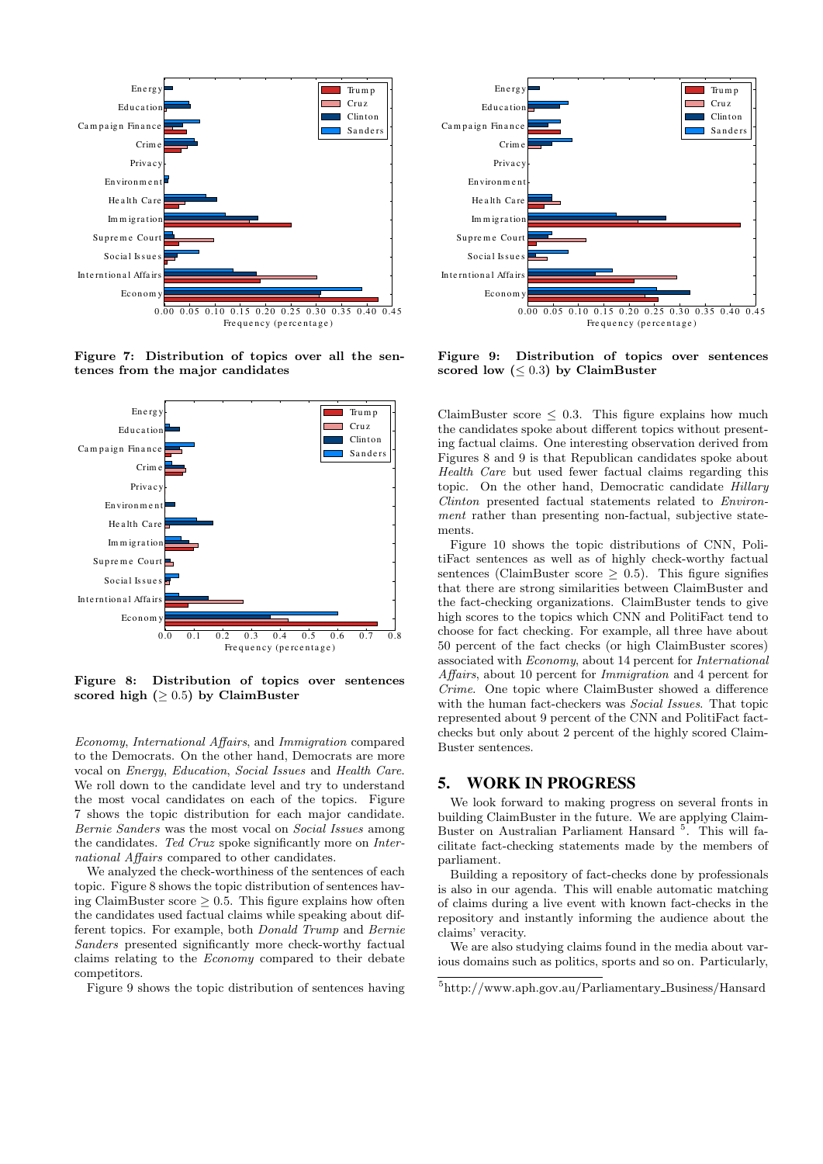

Figure 7: Distribution of topics over all the sentences from the major candidates



Figure 8: Distribution of topics over sentences scored high  $(≥ 0.5)$  by ClaimBuster

Economy, International Affairs, and Immigration compared to the Democrats. On the other hand, Democrats are more vocal on Energy, Education, Social Issues and Health Care. We roll down to the candidate level and try to understand the most vocal candidates on each of the topics. Figure 7 shows the topic distribution for each major candidate. Bernie Sanders was the most vocal on Social Issues among the candidates. Ted Cruz spoke significantly more on International Affairs compared to other candidates.

We analyzed the check-worthiness of the sentences of each topic. Figure 8 shows the topic distribution of sentences having ClaimBuster score  $\geq 0.5$ . This figure explains how often the candidates used factual claims while speaking about different topics. For example, both Donald Trump and Bernie Sanders presented significantly more check-worthy factual claims relating to the Economy compared to their debate competitors.

Figure 9 shows the topic distribution of sentences having



Figure 9: Distribution of topics over sentences scored low  $(\leq 0.3)$  by ClaimBuster

ClaimBuster score  $\leq$  0.3. This figure explains how much the candidates spoke about different topics without presenting factual claims. One interesting observation derived from Figures 8 and 9 is that Republican candidates spoke about Health Care but used fewer factual claims regarding this topic. On the other hand, Democratic candidate Hillary Clinton presented factual statements related to Environment rather than presenting non-factual, subjective statements.

Figure 10 shows the topic distributions of CNN, PolitiFact sentences as well as of highly check-worthy factual sentences (ClaimBuster score  $> 0.5$ ). This figure signifies that there are strong similarities between ClaimBuster and the fact-checking organizations. ClaimBuster tends to give high scores to the topics which CNN and PolitiFact tend to choose for fact checking. For example, all three have about 50 percent of the fact checks (or high ClaimBuster scores) associated with Economy, about 14 percent for International Affairs, about 10 percent for Immigration and 4 percent for Crime. One topic where ClaimBuster showed a difference with the human fact-checkers was Social Issues. That topic represented about 9 percent of the CNN and PolitiFact factchecks but only about 2 percent of the highly scored Claim-Buster sentences.

### 5. WORK IN PROGRESS

We look forward to making progress on several fronts in building ClaimBuster in the future. We are applying Claim-Buster on Australian Parliament Hansard<sup>5</sup>. This will facilitate fact-checking statements made by the members of parliament.

Building a repository of fact-checks done by professionals is also in our agenda. This will enable automatic matching of claims during a live event with known fact-checks in the repository and instantly informing the audience about the claims' veracity.

We are also studying claims found in the media about various domains such as politics, sports and so on. Particularly,

<sup>5</sup>http://www.aph.gov.au/Parliamentary Business/Hansard